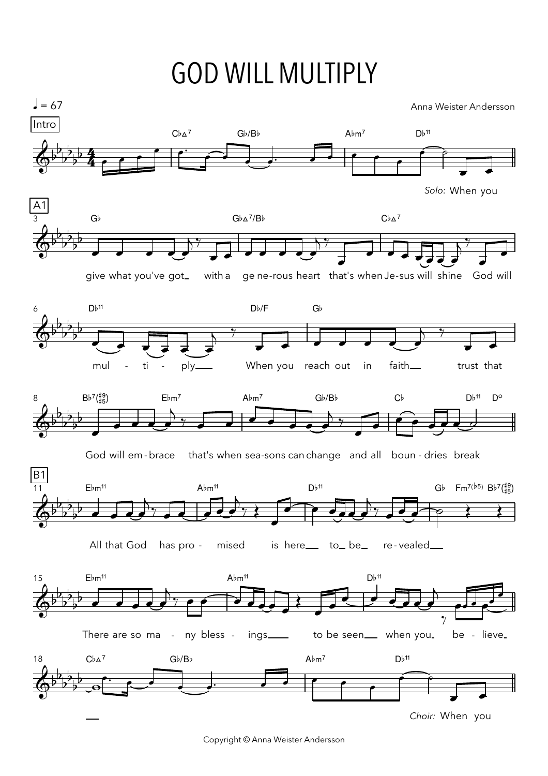## GOD WILL MULTIPLY

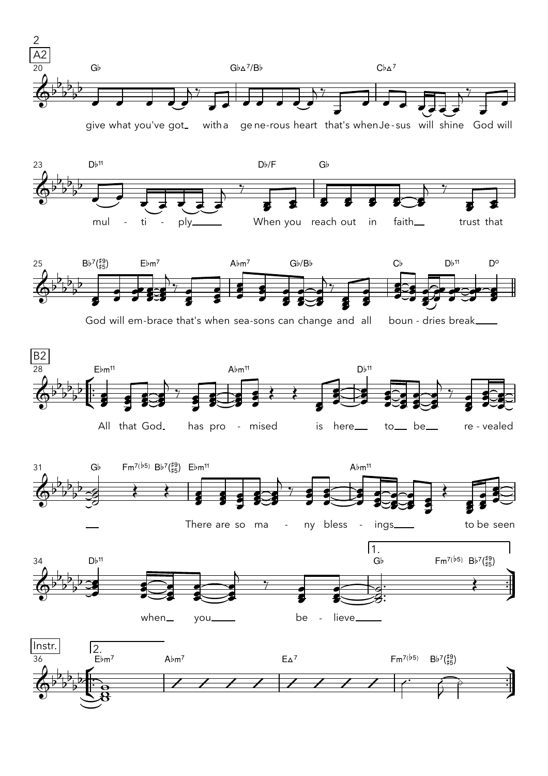

give what you've got\_ what you've got\_ witha gene-rous heart that's whenJe-sus will shine God will





God will em-brace that's when sea-sons can change and and all boun - dries break\_\_\_\_